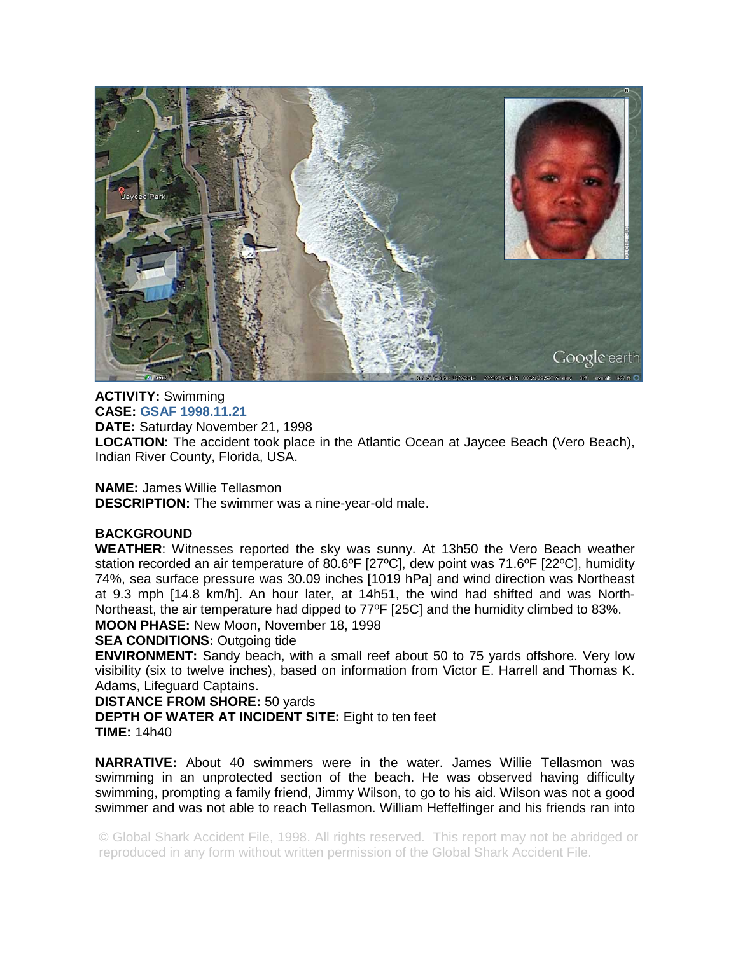

**ACTIVITY:** Swimming **CASE: GSAF 1998.11.21 DATE:** Saturday November 21, 1998 **LOCATION:** The accident took place in the Atlantic Ocean at Jaycee Beach (Vero Beach), Indian River County, Florida, USA.

**NAME:** James Willie Tellasmon **DESCRIPTION:** The swimmer was a nine-year-old male.

## **BACKGROUND**

**WEATHER**: Witnesses reported the sky was sunny. At 13h50 the Vero Beach weather station recorded an air temperature of 80.6ºF [27ºC], dew point was 71.6ºF [22ºC], humidity 74%, sea surface pressure was 30.09 inches [1019 hPa] and wind direction was Northeast at 9.3 mph [14.8 km/h]. An hour later, at 14h51, the wind had shifted and was North-Northeast, the air temperature had dipped to 77ºF [25C] and the humidity climbed to 83%. **MOON PHASE:** New Moon, November 18, 1998

**SEA CONDITIONS: Outgoing tide** 

**ENVIRONMENT:** Sandy beach, with a small reef about 50 to 75 yards offshore. Very low visibility (six to twelve inches), based on information from Victor E. Harrell and Thomas K. Adams, Lifeguard Captains.

**DISTANCE FROM SHORE:** 50 yards **DEPTH OF WATER AT INCIDENT SITE:** Eight to ten feet **TIME:** 14h40

**NARRATIVE:** About 40 swimmers were in the water. James Willie Tellasmon was swimming in an unprotected section of the beach. He was observed having difficulty swimming, prompting a family friend, Jimmy Wilson, to go to his aid. Wilson was not a good swimmer and was not able to reach Tellasmon. William Heffelfinger and his friends ran into

© Global Shark Accident File, 1998. All rights reserved. This report may not be abridged or reproduced in any form without written permission of the Global Shark Accident File.